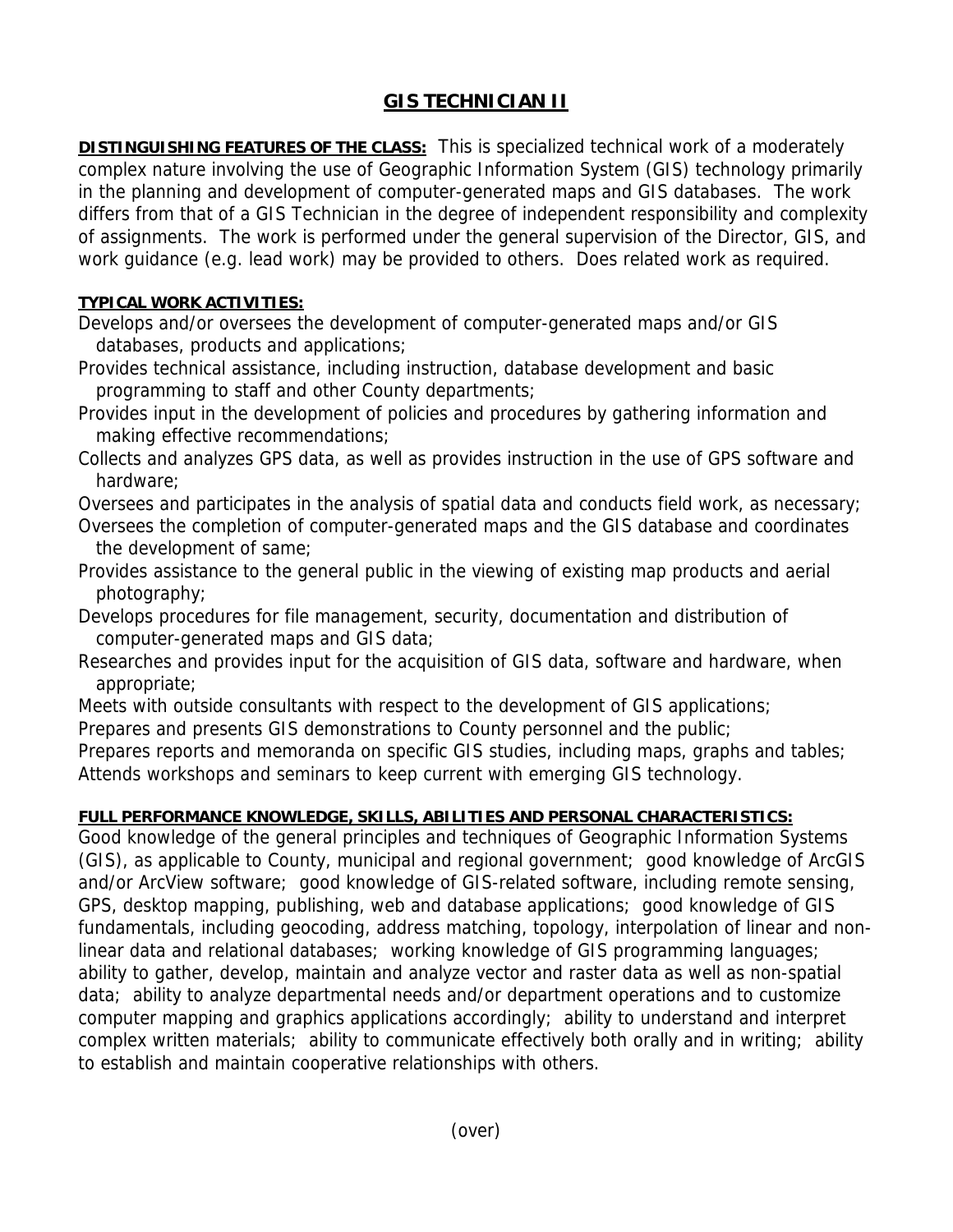## **GIS TECHNICIAN II**

**DISTINGUISHING FEATURES OF THE CLASS:** This is specialized technical work of a moderately complex nature involving the use of Geographic Information System (GIS) technology primarily in the planning and development of computer-generated maps and GIS databases. The work differs from that of a GIS Technician in the degree of independent responsibility and complexity of assignments. The work is performed under the general supervision of the Director, GIS, and work guidance (e.g. lead work) may be provided to others. Does related work as required.

## **TYPICAL WORK ACTIVITIES:**

Develops and/or oversees the development of computer-generated maps and/or GIS databases, products and applications;

- Provides technical assistance, including instruction, database development and basic programming to staff and other County departments;
- Provides input in the development of policies and procedures by gathering information and making effective recommendations;
- Collects and analyzes GPS data, as well as provides instruction in the use of GPS software and hardware;

Oversees and participates in the analysis of spatial data and conducts field work, as necessary; Oversees the completion of computer-generated maps and the GIS database and coordinates

- the development of same;
- Provides assistance to the general public in the viewing of existing map products and aerial photography;
- Develops procedures for file management, security, documentation and distribution of computer-generated maps and GIS data;
- Researches and provides input for the acquisition of GIS data, software and hardware, when appropriate;

Meets with outside consultants with respect to the development of GIS applications;

Prepares and presents GIS demonstrations to County personnel and the public;

Prepares reports and memoranda on specific GIS studies, including maps, graphs and tables; Attends workshops and seminars to keep current with emerging GIS technology.

## **FULL PERFORMANCE KNOWLEDGE, SKILLS, ABILITIES AND PERSONAL CHARACTERISTICS:**

Good knowledge of the general principles and techniques of Geographic Information Systems (GIS), as applicable to County, municipal and regional government; good knowledge of ArcGIS and/or ArcView software; good knowledge of GIS-related software, including remote sensing, GPS, desktop mapping, publishing, web and database applications; good knowledge of GIS fundamentals, including geocoding, address matching, topology, interpolation of linear and nonlinear data and relational databases; working knowledge of GIS programming languages; ability to gather, develop, maintain and analyze vector and raster data as well as non-spatial data; ability to analyze departmental needs and/or department operations and to customize computer mapping and graphics applications accordingly; ability to understand and interpret complex written materials; ability to communicate effectively both orally and in writing; ability to establish and maintain cooperative relationships with others.